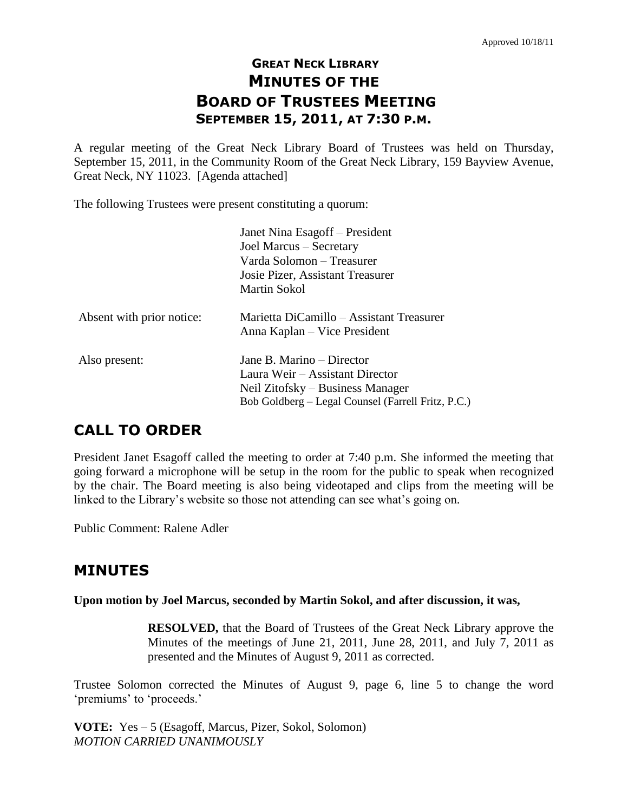# **GREAT NECK LIBRARY MINUTES OF THE BOARD OF TRUSTEES MEETING SEPTEMBER 15, 2011, AT 7:30 P.M.**

A regular meeting of the Great Neck Library Board of Trustees was held on Thursday, September 15, 2011, in the Community Room of the Great Neck Library, 159 Bayview Avenue, Great Neck, NY 11023. [Agenda attached]

The following Trustees were present constituting a quorum:

|                           | Janet Nina Esagoff – President<br>Joel Marcus - Secretary<br>Varda Solomon – Treasurer<br>Josie Pizer, Assistant Treasurer                             |
|---------------------------|--------------------------------------------------------------------------------------------------------------------------------------------------------|
|                           | Martin Sokol                                                                                                                                           |
| Absent with prior notice: | Marietta DiCamillo - Assistant Treasurer<br>Anna Kaplan – Vice President                                                                               |
| Also present:             | Jane B. Marino – Director<br>Laura Weir – Assistant Director<br>Neil Zitofsky – Business Manager<br>Bob Goldberg – Legal Counsel (Farrell Fritz, P.C.) |

# **CALL TO ORDER**

President Janet Esagoff called the meeting to order at 7:40 p.m. She informed the meeting that going forward a microphone will be setup in the room for the public to speak when recognized by the chair. The Board meeting is also being videotaped and clips from the meeting will be linked to the Library's website so those not attending can see what's going on.

Public Comment: Ralene Adler

# **MINUTES**

**Upon motion by Joel Marcus, seconded by Martin Sokol, and after discussion, it was,**

**RESOLVED,** that the Board of Trustees of the Great Neck Library approve the Minutes of the meetings of June 21, 2011, June 28, 2011, and July 7, 2011 as presented and the Minutes of August 9, 2011 as corrected.

Trustee Solomon corrected the Minutes of August 9, page 6, line 5 to change the word 'premiums' to 'proceeds.'

**VOTE:** Yes – 5 (Esagoff, Marcus, Pizer, Sokol, Solomon) *MOTION CARRIED UNANIMOUSLY*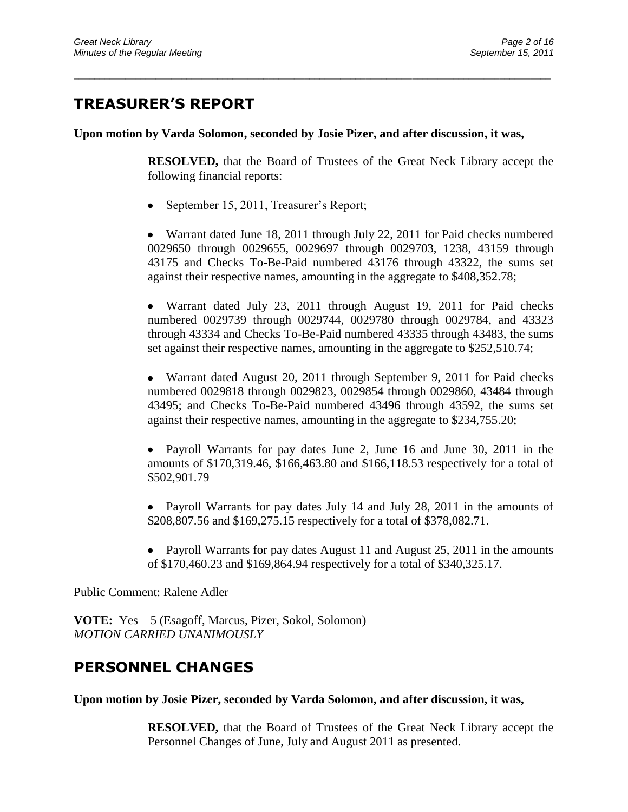# **TREASURER'S REPORT**

**Upon motion by Varda Solomon, seconded by Josie Pizer, and after discussion, it was,**

\_\_\_\_\_\_\_\_\_\_\_\_\_\_\_\_\_\_\_\_\_\_\_\_\_\_\_\_\_\_\_\_\_\_\_\_\_\_\_\_\_\_\_\_\_\_\_\_\_\_\_\_\_\_\_\_\_\_\_\_\_\_\_\_\_\_\_\_\_\_\_\_\_\_\_\_\_\_\_\_\_\_\_\_\_\_\_\_\_\_\_\_\_

**RESOLVED,** that the Board of Trustees of the Great Neck Library accept the following financial reports:

• September 15, 2011, Treasurer's Report;

Warrant dated June 18, 2011 through July 22, 2011 for Paid checks numbered 0029650 through 0029655, 0029697 through 0029703, 1238, 43159 through 43175 and Checks To-Be-Paid numbered 43176 through 43322, the sums set against their respective names, amounting in the aggregate to \$408,352.78;

Warrant dated July 23, 2011 through August 19, 2011 for Paid checks numbered 0029739 through 0029744, 0029780 through 0029784, and 43323 through 43334 and Checks To-Be-Paid numbered 43335 through 43483, the sums set against their respective names, amounting in the aggregate to \$252,510.74;

Warrant dated August 20, 2011 through September 9, 2011 for Paid checks numbered 0029818 through 0029823, 0029854 through 0029860, 43484 through 43495; and Checks To-Be-Paid numbered 43496 through 43592, the sums set against their respective names, amounting in the aggregate to \$234,755.20;

• Payroll Warrants for pay dates June 2, June 16 and June 30, 2011 in the amounts of \$170,319.46, \$166,463.80 and \$166,118.53 respectively for a total of \$502,901.79

Payroll Warrants for pay dates July 14 and July 28, 2011 in the amounts of \$208,807.56 and \$169,275.15 respectively for a total of \$378,082.71.

• Payroll Warrants for pay dates August 11 and August 25, 2011 in the amounts of \$170,460.23 and \$169,864.94 respectively for a total of \$340,325.17.

Public Comment: Ralene Adler

**VOTE:** Yes – 5 (Esagoff, Marcus, Pizer, Sokol, Solomon) *MOTION CARRIED UNANIMOUSLY* 

# **PERSONNEL CHANGES**

**Upon motion by Josie Pizer, seconded by Varda Solomon, and after discussion, it was,**

**RESOLVED,** that the Board of Trustees of the Great Neck Library accept the Personnel Changes of June, July and August 2011 as presented.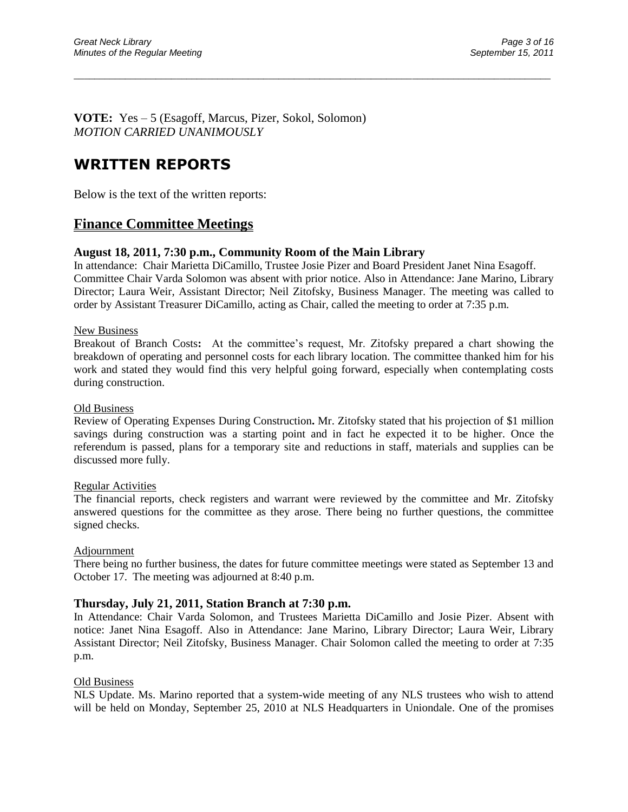**VOTE:** Yes – 5 (Esagoff, Marcus, Pizer, Sokol, Solomon) *MOTION CARRIED UNANIMOUSLY* 

# **WRITTEN REPORTS**

Below is the text of the written reports:

## **Finance Committee Meetings**

### **August 18, 2011, 7:30 p.m., Community Room of the Main Library**

In attendance:Chair Marietta DiCamillo, Trustee Josie Pizer and Board President Janet Nina Esagoff. Committee Chair Varda Solomon was absent with prior notice. Also in Attendance: Jane Marino, Library Director; Laura Weir, Assistant Director; Neil Zitofsky, Business Manager. The meeting was called to order by Assistant Treasurer DiCamillo, acting as Chair, called the meeting to order at 7:35 p.m.

\_\_\_\_\_\_\_\_\_\_\_\_\_\_\_\_\_\_\_\_\_\_\_\_\_\_\_\_\_\_\_\_\_\_\_\_\_\_\_\_\_\_\_\_\_\_\_\_\_\_\_\_\_\_\_\_\_\_\_\_\_\_\_\_\_\_\_\_\_\_\_\_\_\_\_\_\_\_\_\_\_\_\_\_\_\_\_\_\_\_\_\_\_

#### New Business

Breakout of Branch Costs: At the committee's request, Mr. Zitofsky prepared a chart showing the breakdown of operating and personnel costs for each library location. The committee thanked him for his work and stated they would find this very helpful going forward, especially when contemplating costs during construction.

#### Old Business

Review of Operating Expenses During Construction**.** Mr. Zitofsky stated that his projection of \$1 million savings during construction was a starting point and in fact he expected it to be higher. Once the referendum is passed, plans for a temporary site and reductions in staff, materials and supplies can be discussed more fully.

#### Regular Activities

The financial reports, check registers and warrant were reviewed by the committee and Mr. Zitofsky answered questions for the committee as they arose. There being no further questions, the committee signed checks.

#### Adjournment

There being no further business, the dates for future committee meetings were stated as September 13 and October 17. The meeting was adjourned at 8:40 p.m.

#### **Thursday, July 21, 2011, Station Branch at 7:30 p.m.**

In Attendance: Chair Varda Solomon, and Trustees Marietta DiCamillo and Josie Pizer. Absent with notice: Janet Nina Esagoff. Also in Attendance: Jane Marino, Library Director; Laura Weir, Library Assistant Director; Neil Zitofsky, Business Manager. Chair Solomon called the meeting to order at 7:35 p.m.

#### Old Business

NLS Update. Ms. Marino reported that a system-wide meeting of any NLS trustees who wish to attend will be held on Monday, September 25, 2010 at NLS Headquarters in Uniondale. One of the promises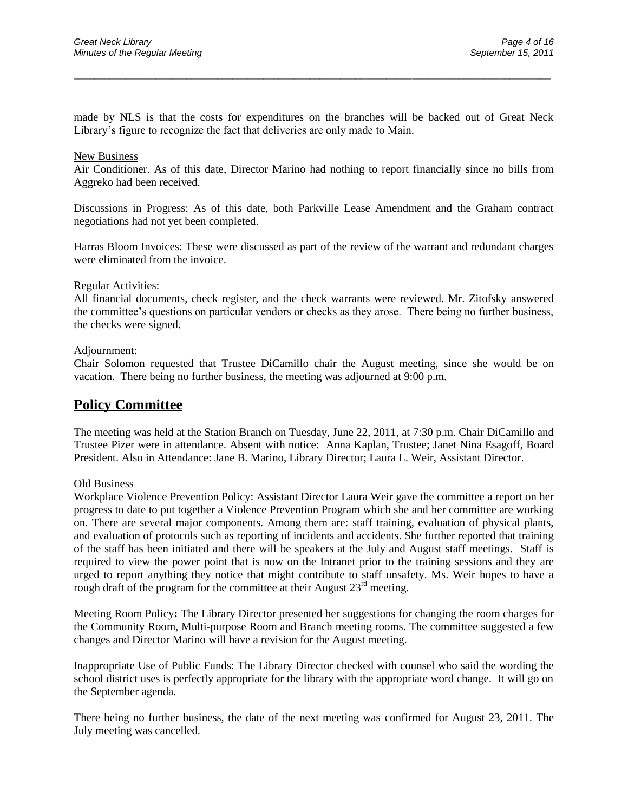made by NLS is that the costs for expenditures on the branches will be backed out of Great Neck Library"s figure to recognize the fact that deliveries are only made to Main.

\_\_\_\_\_\_\_\_\_\_\_\_\_\_\_\_\_\_\_\_\_\_\_\_\_\_\_\_\_\_\_\_\_\_\_\_\_\_\_\_\_\_\_\_\_\_\_\_\_\_\_\_\_\_\_\_\_\_\_\_\_\_\_\_\_\_\_\_\_\_\_\_\_\_\_\_\_\_\_\_\_\_\_\_\_\_\_\_\_\_\_\_\_

#### New Business

Air Conditioner. As of this date, Director Marino had nothing to report financially since no bills from Aggreko had been received.

Discussions in Progress: As of this date, both Parkville Lease Amendment and the Graham contract negotiations had not yet been completed.

Harras Bloom Invoices: These were discussed as part of the review of the warrant and redundant charges were eliminated from the invoice.

#### Regular Activities:

All financial documents, check register, and the check warrants were reviewed. Mr. Zitofsky answered the committee"s questions on particular vendors or checks as they arose. There being no further business, the checks were signed.

#### Adjournment:

Chair Solomon requested that Trustee DiCamillo chair the August meeting, since she would be on vacation. There being no further business, the meeting was adjourned at 9:00 p.m.

## **Policy Committee**

The meeting was held at the Station Branch on Tuesday, June 22, 2011, at 7:30 p.m. Chair DiCamillo and Trustee Pizer were in attendance. Absent with notice: Anna Kaplan, Trustee; Janet Nina Esagoff, Board President. Also in Attendance: Jane B. Marino, Library Director; Laura L. Weir, Assistant Director.

#### Old Business

Workplace Violence Prevention Policy: Assistant Director Laura Weir gave the committee a report on her progress to date to put together a Violence Prevention Program which she and her committee are working on. There are several major components. Among them are: staff training, evaluation of physical plants, and evaluation of protocols such as reporting of incidents and accidents. She further reported that training of the staff has been initiated and there will be speakers at the July and August staff meetings. Staff is required to view the power point that is now on the Intranet prior to the training sessions and they are urged to report anything they notice that might contribute to staff unsafety. Ms. Weir hopes to have a rough draft of the program for the committee at their August  $23<sup>rd</sup>$  meeting.

Meeting Room Policy**:** The Library Director presented her suggestions for changing the room charges for the Community Room, Multi-purpose Room and Branch meeting rooms. The committee suggested a few changes and Director Marino will have a revision for the August meeting.

Inappropriate Use of Public Funds: The Library Director checked with counsel who said the wording the school district uses is perfectly appropriate for the library with the appropriate word change. It will go on the September agenda.

There being no further business, the date of the next meeting was confirmed for August 23, 2011. The July meeting was cancelled.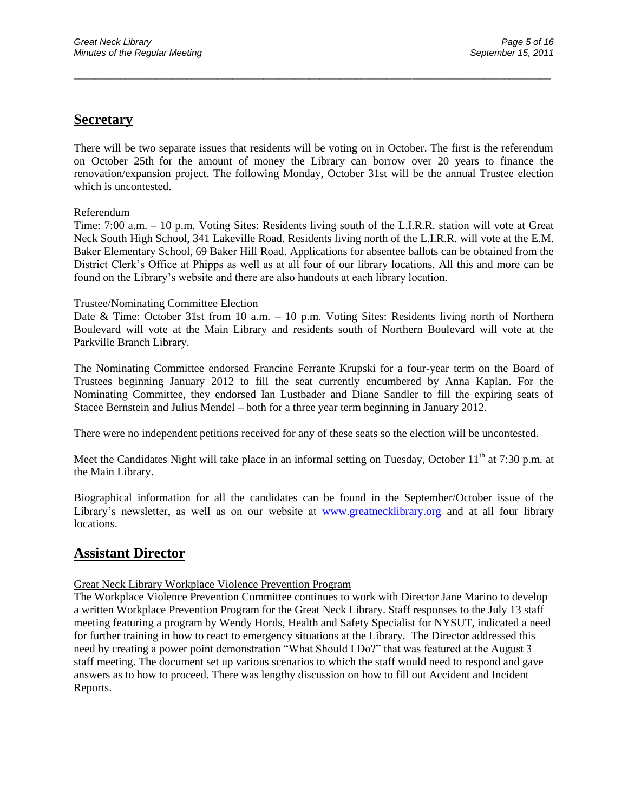## **Secretary**

There will be two separate issues that residents will be voting on in October. The first is the referendum on October 25th for the amount of money the Library can borrow over 20 years to finance the renovation/expansion project. The following Monday, October 31st will be the annual Trustee election which is uncontested.

\_\_\_\_\_\_\_\_\_\_\_\_\_\_\_\_\_\_\_\_\_\_\_\_\_\_\_\_\_\_\_\_\_\_\_\_\_\_\_\_\_\_\_\_\_\_\_\_\_\_\_\_\_\_\_\_\_\_\_\_\_\_\_\_\_\_\_\_\_\_\_\_\_\_\_\_\_\_\_\_\_\_\_\_\_\_\_\_\_\_\_\_\_

#### Referendum

Time: 7:00 a.m. – 10 p.m. Voting Sites: Residents living south of the L.I.R.R. station will vote at Great Neck South High School, 341 Lakeville Road. Residents living north of the L.I.R.R. will vote at the E.M. Baker Elementary School, 69 Baker Hill Road. Applications for absentee ballots can be obtained from the District Clerk"s Office at Phipps as well as at all four of our library locations. All this and more can be found on the Library"s website and there are also handouts at each library location.

#### Trustee/Nominating Committee Election

Date & Time: October 31st from 10 a.m. – 10 p.m. Voting Sites: Residents living north of Northern Boulevard will vote at the Main Library and residents south of Northern Boulevard will vote at the Parkville Branch Library.

The Nominating Committee endorsed Francine Ferrante Krupski for a four-year term on the Board of Trustees beginning January 2012 to fill the seat currently encumbered by Anna Kaplan. For the Nominating Committee, they endorsed Ian Lustbader and Diane Sandler to fill the expiring seats of Stacee Bernstein and Julius Mendel – both for a three year term beginning in January 2012.

There were no independent petitions received for any of these seats so the election will be uncontested.

Meet the Candidates Night will take place in an informal setting on Tuesday, October 11<sup>th</sup> at 7:30 p.m. at the Main Library.

Biographical information for all the candidates can be found in the September/October issue of the Library's newsletter, as well as on our website at [www.greatnecklibrary.org](http://www.greatnecklibrary.org/) and at all four library locations.

## **Assistant Director**

#### Great Neck Library Workplace Violence Prevention Program

The Workplace Violence Prevention Committee continues to work with Director Jane Marino to develop a written Workplace Prevention Program for the Great Neck Library. Staff responses to the July 13 staff meeting featuring a program by Wendy Hords, Health and Safety Specialist for NYSUT, indicated a need for further training in how to react to emergency situations at the Library. The Director addressed this need by creating a power point demonstration "What Should I Do?" that was featured at the August 3 staff meeting. The document set up various scenarios to which the staff would need to respond and gave answers as to how to proceed. There was lengthy discussion on how to fill out Accident and Incident Reports.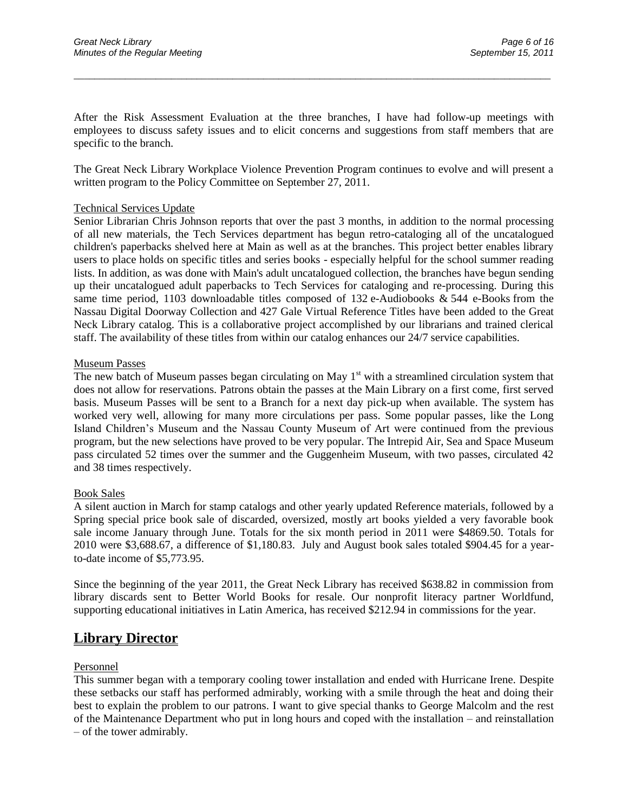After the Risk Assessment Evaluation at the three branches, I have had follow-up meetings with employees to discuss safety issues and to elicit concerns and suggestions from staff members that are specific to the branch.

\_\_\_\_\_\_\_\_\_\_\_\_\_\_\_\_\_\_\_\_\_\_\_\_\_\_\_\_\_\_\_\_\_\_\_\_\_\_\_\_\_\_\_\_\_\_\_\_\_\_\_\_\_\_\_\_\_\_\_\_\_\_\_\_\_\_\_\_\_\_\_\_\_\_\_\_\_\_\_\_\_\_\_\_\_\_\_\_\_\_\_\_\_

The Great Neck Library Workplace Violence Prevention Program continues to evolve and will present a written program to the Policy Committee on September 27, 2011.

#### Technical Services Update

Senior Librarian Chris Johnson reports that over the past 3 months, in addition to the normal processing of all new materials, the Tech Services department has begun retro-cataloging all of the uncatalogued children's paperbacks shelved here at Main as well as at the branches. This project better enables library users to place holds on specific titles and series books - especially helpful for the school summer reading lists. In addition, as was done with Main's adult uncatalogued collection, the branches have begun sending up their uncatalogued adult paperbacks to Tech Services for cataloging and re-processing. During this same time period, 1103 downloadable titles composed of 132 e-Audiobooks & 544 e-Books from the Nassau Digital Doorway Collection and 427 Gale Virtual Reference Titles have been added to the Great Neck Library catalog. This is a collaborative project accomplished by our librarians and trained clerical staff. The availability of these titles from within our catalog enhances our 24/7 service capabilities.

#### Museum Passes

The new batch of Museum passes began circulating on May  $1<sup>st</sup>$  with a streamlined circulation system that does not allow for reservations. Patrons obtain the passes at the Main Library on a first come, first served basis. Museum Passes will be sent to a Branch for a next day pick-up when available. The system has worked very well, allowing for many more circulations per pass. Some popular passes, like the Long Island Children"s Museum and the Nassau County Museum of Art were continued from the previous program, but the new selections have proved to be very popular. The Intrepid Air, Sea and Space Museum pass circulated 52 times over the summer and the Guggenheim Museum, with two passes, circulated 42 and 38 times respectively.

#### Book Sales

A silent auction in March for stamp catalogs and other yearly updated Reference materials, followed by a Spring special price book sale of discarded, oversized, mostly art books yielded a very favorable book sale income January through June. Totals for the six month period in 2011 were \$4869.50. Totals for 2010 were \$3,688.67, a difference of \$1,180.83. July and August book sales totaled \$904.45 for a yearto-date income of \$5,773.95.

Since the beginning of the year 2011, the Great Neck Library has received \$638.82 in commission from library discards sent to Better World Books for resale. Our nonprofit literacy partner Worldfund, supporting educational initiatives in Latin America, has received \$212.94 in commissions for the year.

## **Library Director**

#### Personnel

This summer began with a temporary cooling tower installation and ended with Hurricane Irene. Despite these setbacks our staff has performed admirably, working with a smile through the heat and doing their best to explain the problem to our patrons. I want to give special thanks to George Malcolm and the rest of the Maintenance Department who put in long hours and coped with the installation – and reinstallation – of the tower admirably.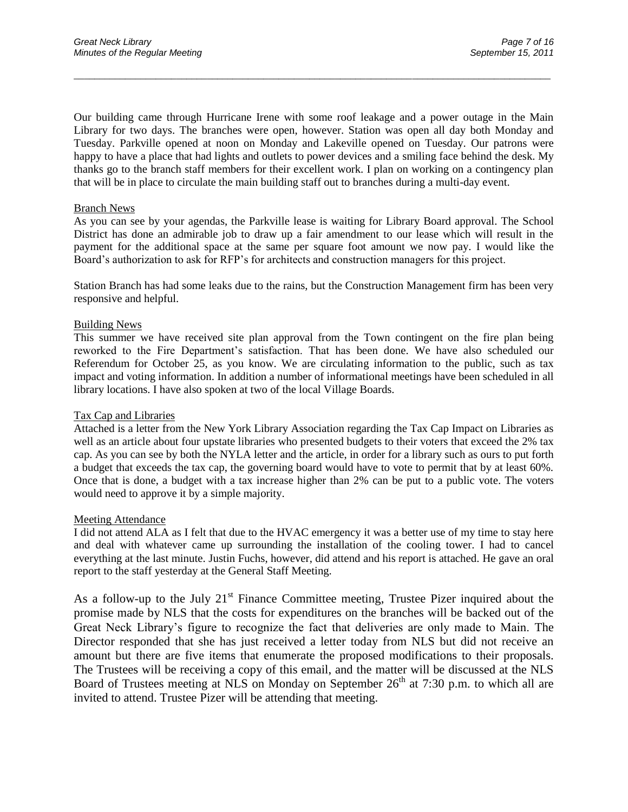Our building came through Hurricane Irene with some roof leakage and a power outage in the Main Library for two days. The branches were open, however. Station was open all day both Monday and Tuesday. Parkville opened at noon on Monday and Lakeville opened on Tuesday. Our patrons were happy to have a place that had lights and outlets to power devices and a smiling face behind the desk. My thanks go to the branch staff members for their excellent work. I plan on working on a contingency plan that will be in place to circulate the main building staff out to branches during a multi-day event.

\_\_\_\_\_\_\_\_\_\_\_\_\_\_\_\_\_\_\_\_\_\_\_\_\_\_\_\_\_\_\_\_\_\_\_\_\_\_\_\_\_\_\_\_\_\_\_\_\_\_\_\_\_\_\_\_\_\_\_\_\_\_\_\_\_\_\_\_\_\_\_\_\_\_\_\_\_\_\_\_\_\_\_\_\_\_\_\_\_\_\_\_\_

#### Branch News

As you can see by your agendas, the Parkville lease is waiting for Library Board approval. The School District has done an admirable job to draw up a fair amendment to our lease which will result in the payment for the additional space at the same per square foot amount we now pay. I would like the Board"s authorization to ask for RFP"s for architects and construction managers for this project.

Station Branch has had some leaks due to the rains, but the Construction Management firm has been very responsive and helpful.

#### Building News

This summer we have received site plan approval from the Town contingent on the fire plan being reworked to the Fire Department"s satisfaction. That has been done. We have also scheduled our Referendum for October 25, as you know. We are circulating information to the public, such as tax impact and voting information. In addition a number of informational meetings have been scheduled in all library locations. I have also spoken at two of the local Village Boards.

#### Tax Cap and Libraries

Attached is a letter from the New York Library Association regarding the Tax Cap Impact on Libraries as well as an article about four upstate libraries who presented budgets to their voters that exceed the 2% tax cap. As you can see by both the NYLA letter and the article, in order for a library such as ours to put forth a budget that exceeds the tax cap, the governing board would have to vote to permit that by at least 60%. Once that is done, a budget with a tax increase higher than 2% can be put to a public vote. The voters would need to approve it by a simple majority.

#### Meeting Attendance

I did not attend ALA as I felt that due to the HVAC emergency it was a better use of my time to stay here and deal with whatever came up surrounding the installation of the cooling tower. I had to cancel everything at the last minute. Justin Fuchs, however, did attend and his report is attached. He gave an oral report to the staff yesterday at the General Staff Meeting.

As a follow-up to the July  $21<sup>st</sup>$  Finance Committee meeting, Trustee Pizer inquired about the promise made by NLS that the costs for expenditures on the branches will be backed out of the Great Neck Library"s figure to recognize the fact that deliveries are only made to Main. The Director responded that she has just received a letter today from NLS but did not receive an amount but there are five items that enumerate the proposed modifications to their proposals. The Trustees will be receiving a copy of this email, and the matter will be discussed at the NLS Board of Trustees meeting at NLS on Monday on September  $26<sup>th</sup>$  at 7:30 p.m. to which all are invited to attend. Trustee Pizer will be attending that meeting.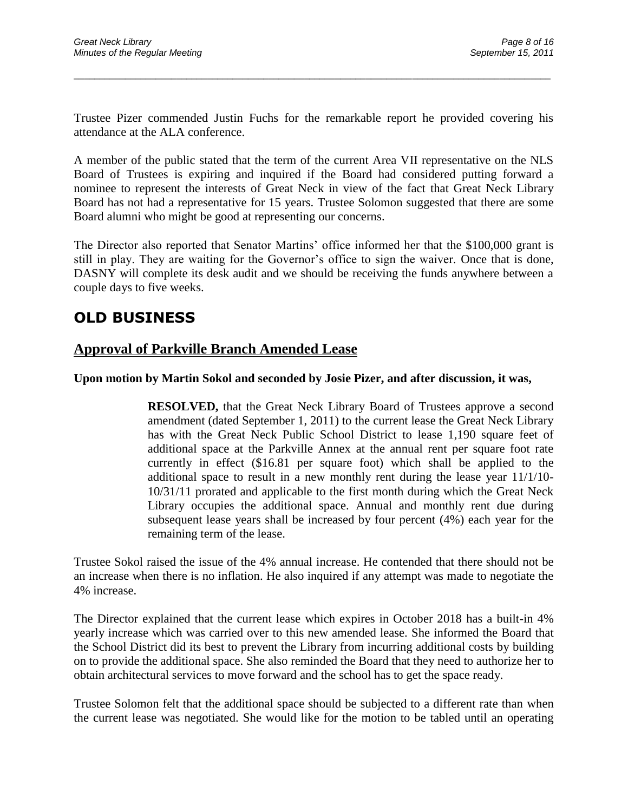Trustee Pizer commended Justin Fuchs for the remarkable report he provided covering his attendance at the ALA conference.

\_\_\_\_\_\_\_\_\_\_\_\_\_\_\_\_\_\_\_\_\_\_\_\_\_\_\_\_\_\_\_\_\_\_\_\_\_\_\_\_\_\_\_\_\_\_\_\_\_\_\_\_\_\_\_\_\_\_\_\_\_\_\_\_\_\_\_\_\_\_\_\_\_\_\_\_\_\_\_\_\_\_\_\_\_\_\_\_\_\_\_\_\_

A member of the public stated that the term of the current Area VII representative on the NLS Board of Trustees is expiring and inquired if the Board had considered putting forward a nominee to represent the interests of Great Neck in view of the fact that Great Neck Library Board has not had a representative for 15 years. Trustee Solomon suggested that there are some Board alumni who might be good at representing our concerns.

The Director also reported that Senator Martins" office informed her that the \$100,000 grant is still in play. They are waiting for the Governor's office to sign the waiver. Once that is done, DASNY will complete its desk audit and we should be receiving the funds anywhere between a couple days to five weeks.

# **OLD BUSINESS**

## **Approval of Parkville Branch Amended Lease**

## **Upon motion by Martin Sokol and seconded by Josie Pizer, and after discussion, it was,**

**RESOLVED,** that the Great Neck Library Board of Trustees approve a second amendment (dated September 1, 2011) to the current lease the Great Neck Library has with the Great Neck Public School District to lease 1,190 square feet of additional space at the Parkville Annex at the annual rent per square foot rate currently in effect (\$16.81 per square foot) which shall be applied to the additional space to result in a new monthly rent during the lease year 11/1/10- 10/31/11 prorated and applicable to the first month during which the Great Neck Library occupies the additional space. Annual and monthly rent due during subsequent lease years shall be increased by four percent (4%) each year for the remaining term of the lease.

Trustee Sokol raised the issue of the 4% annual increase. He contended that there should not be an increase when there is no inflation. He also inquired if any attempt was made to negotiate the 4% increase.

The Director explained that the current lease which expires in October 2018 has a built-in 4% yearly increase which was carried over to this new amended lease. She informed the Board that the School District did its best to prevent the Library from incurring additional costs by building on to provide the additional space. She also reminded the Board that they need to authorize her to obtain architectural services to move forward and the school has to get the space ready.

Trustee Solomon felt that the additional space should be subjected to a different rate than when the current lease was negotiated. She would like for the motion to be tabled until an operating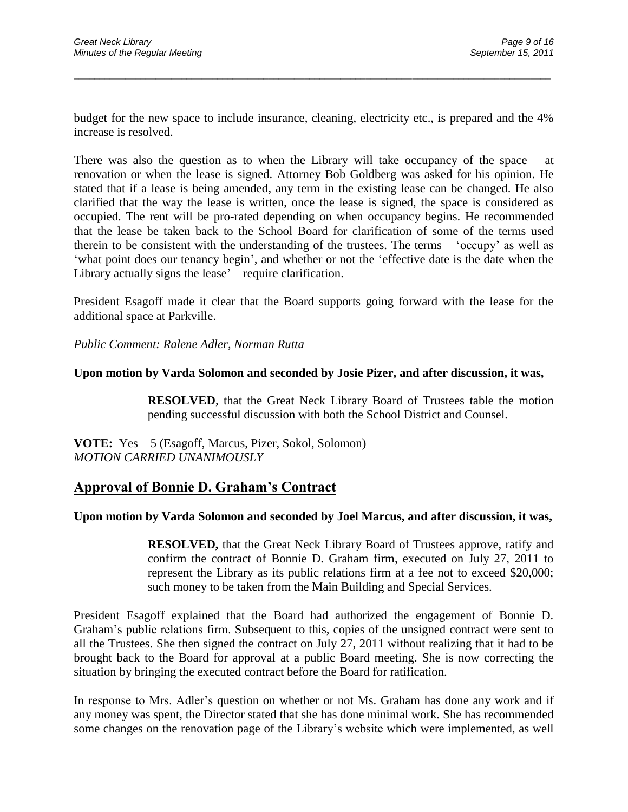budget for the new space to include insurance, cleaning, electricity etc., is prepared and the 4% increase is resolved.

\_\_\_\_\_\_\_\_\_\_\_\_\_\_\_\_\_\_\_\_\_\_\_\_\_\_\_\_\_\_\_\_\_\_\_\_\_\_\_\_\_\_\_\_\_\_\_\_\_\_\_\_\_\_\_\_\_\_\_\_\_\_\_\_\_\_\_\_\_\_\_\_\_\_\_\_\_\_\_\_\_\_\_\_\_\_\_\_\_\_\_\_\_

There was also the question as to when the Library will take occupancy of the space – at renovation or when the lease is signed. Attorney Bob Goldberg was asked for his opinion. He stated that if a lease is being amended, any term in the existing lease can be changed. He also clarified that the way the lease is written, once the lease is signed, the space is considered as occupied. The rent will be pro-rated depending on when occupancy begins. He recommended that the lease be taken back to the School Board for clarification of some of the terms used therein to be consistent with the understanding of the trustees. The terms – "occupy" as well as "what point does our tenancy begin", and whether or not the "effective date is the date when the Library actually signs the lease' – require clarification.

President Esagoff made it clear that the Board supports going forward with the lease for the additional space at Parkville.

*Public Comment: Ralene Adler, Norman Rutta*

#### **Upon motion by Varda Solomon and seconded by Josie Pizer, and after discussion, it was,**

**RESOLVED**, that the Great Neck Library Board of Trustees table the motion pending successful discussion with both the School District and Counsel.

**VOTE:** Yes – 5 (Esagoff, Marcus, Pizer, Sokol, Solomon) *MOTION CARRIED UNANIMOUSLY*

## **Approval of Bonnie D. Graham's Contract**

### **Upon motion by Varda Solomon and seconded by Joel Marcus, and after discussion, it was,**

**RESOLVED,** that the Great Neck Library Board of Trustees approve, ratify and confirm the contract of Bonnie D. Graham firm, executed on July 27, 2011 to represent the Library as its public relations firm at a fee not to exceed \$20,000; such money to be taken from the Main Building and Special Services.

President Esagoff explained that the Board had authorized the engagement of Bonnie D. Graham"s public relations firm. Subsequent to this, copies of the unsigned contract were sent to all the Trustees. She then signed the contract on July 27, 2011 without realizing that it had to be brought back to the Board for approval at a public Board meeting. She is now correcting the situation by bringing the executed contract before the Board for ratification.

In response to Mrs. Adler"s question on whether or not Ms. Graham has done any work and if any money was spent, the Director stated that she has done minimal work. She has recommended some changes on the renovation page of the Library"s website which were implemented, as well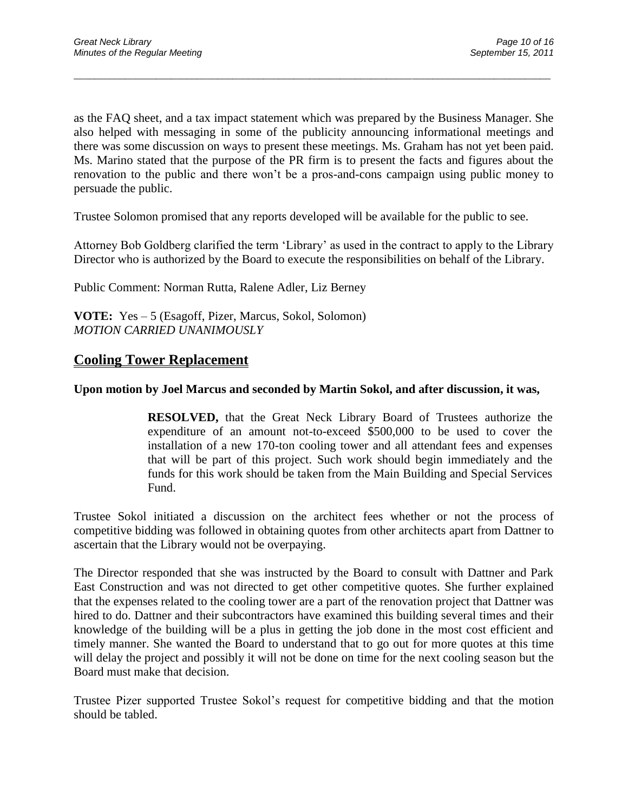as the FAQ sheet, and a tax impact statement which was prepared by the Business Manager. She also helped with messaging in some of the publicity announcing informational meetings and there was some discussion on ways to present these meetings. Ms. Graham has not yet been paid. Ms. Marino stated that the purpose of the PR firm is to present the facts and figures about the renovation to the public and there won"t be a pros-and-cons campaign using public money to persuade the public.

\_\_\_\_\_\_\_\_\_\_\_\_\_\_\_\_\_\_\_\_\_\_\_\_\_\_\_\_\_\_\_\_\_\_\_\_\_\_\_\_\_\_\_\_\_\_\_\_\_\_\_\_\_\_\_\_\_\_\_\_\_\_\_\_\_\_\_\_\_\_\_\_\_\_\_\_\_\_\_\_\_\_\_\_\_\_\_\_\_\_\_\_\_

Trustee Solomon promised that any reports developed will be available for the public to see.

Attorney Bob Goldberg clarified the term "Library" as used in the contract to apply to the Library Director who is authorized by the Board to execute the responsibilities on behalf of the Library.

Public Comment: Norman Rutta, Ralene Adler, Liz Berney

**VOTE:** Yes – 5 (Esagoff, Pizer, Marcus, Sokol, Solomon) *MOTION CARRIED UNANIMOUSLY*

## **Cooling Tower Replacement**

### **Upon motion by Joel Marcus and seconded by Martin Sokol, and after discussion, it was,**

**RESOLVED,** that the Great Neck Library Board of Trustees authorize the expenditure of an amount not-to-exceed \$500,000 to be used to cover the installation of a new 170-ton cooling tower and all attendant fees and expenses that will be part of this project. Such work should begin immediately and the funds for this work should be taken from the Main Building and Special Services Fund.

Trustee Sokol initiated a discussion on the architect fees whether or not the process of competitive bidding was followed in obtaining quotes from other architects apart from Dattner to ascertain that the Library would not be overpaying.

The Director responded that she was instructed by the Board to consult with Dattner and Park East Construction and was not directed to get other competitive quotes. She further explained that the expenses related to the cooling tower are a part of the renovation project that Dattner was hired to do. Dattner and their subcontractors have examined this building several times and their knowledge of the building will be a plus in getting the job done in the most cost efficient and timely manner. She wanted the Board to understand that to go out for more quotes at this time will delay the project and possibly it will not be done on time for the next cooling season but the Board must make that decision.

Trustee Pizer supported Trustee Sokol"s request for competitive bidding and that the motion should be tabled.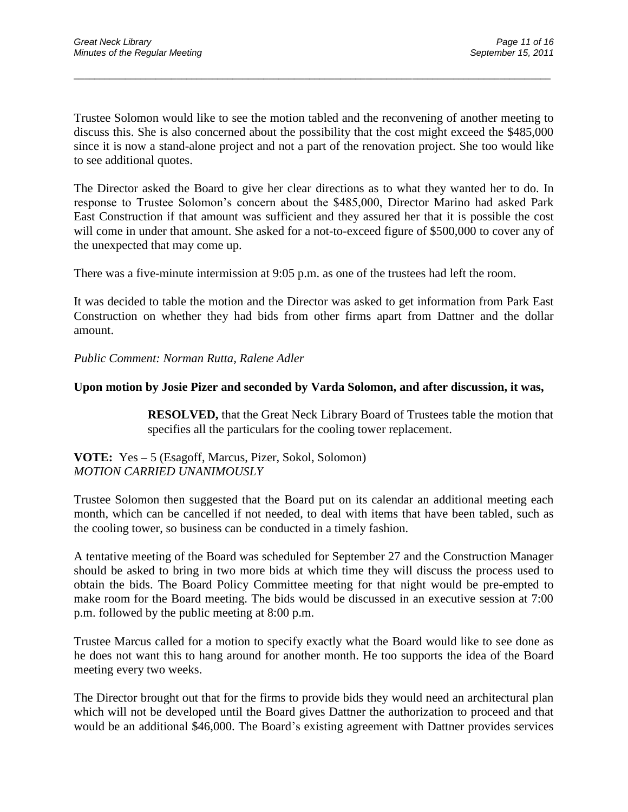Trustee Solomon would like to see the motion tabled and the reconvening of another meeting to discuss this. She is also concerned about the possibility that the cost might exceed the \$485,000 since it is now a stand-alone project and not a part of the renovation project. She too would like to see additional quotes.

\_\_\_\_\_\_\_\_\_\_\_\_\_\_\_\_\_\_\_\_\_\_\_\_\_\_\_\_\_\_\_\_\_\_\_\_\_\_\_\_\_\_\_\_\_\_\_\_\_\_\_\_\_\_\_\_\_\_\_\_\_\_\_\_\_\_\_\_\_\_\_\_\_\_\_\_\_\_\_\_\_\_\_\_\_\_\_\_\_\_\_\_\_

The Director asked the Board to give her clear directions as to what they wanted her to do. In response to Trustee Solomon"s concern about the \$485,000, Director Marino had asked Park East Construction if that amount was sufficient and they assured her that it is possible the cost will come in under that amount. She asked for a not-to-exceed figure of \$500,000 to cover any of the unexpected that may come up.

There was a five-minute intermission at 9:05 p.m. as one of the trustees had left the room.

It was decided to table the motion and the Director was asked to get information from Park East Construction on whether they had bids from other firms apart from Dattner and the dollar amount.

*Public Comment: Norman Rutta, Ralene Adler*

### **Upon motion by Josie Pizer and seconded by Varda Solomon, and after discussion, it was,**

**RESOLVED,** that the Great Neck Library Board of Trustees table the motion that specifies all the particulars for the cooling tower replacement.

### **VOTE:** Yes **–** 5 (Esagoff, Marcus, Pizer, Sokol, Solomon) *MOTION CARRIED UNANIMOUSLY*

Trustee Solomon then suggested that the Board put on its calendar an additional meeting each month, which can be cancelled if not needed, to deal with items that have been tabled, such as the cooling tower, so business can be conducted in a timely fashion.

A tentative meeting of the Board was scheduled for September 27 and the Construction Manager should be asked to bring in two more bids at which time they will discuss the process used to obtain the bids. The Board Policy Committee meeting for that night would be pre-empted to make room for the Board meeting. The bids would be discussed in an executive session at 7:00 p.m. followed by the public meeting at 8:00 p.m.

Trustee Marcus called for a motion to specify exactly what the Board would like to see done as he does not want this to hang around for another month. He too supports the idea of the Board meeting every two weeks.

The Director brought out that for the firms to provide bids they would need an architectural plan which will not be developed until the Board gives Dattner the authorization to proceed and that would be an additional \$46,000. The Board's existing agreement with Dattner provides services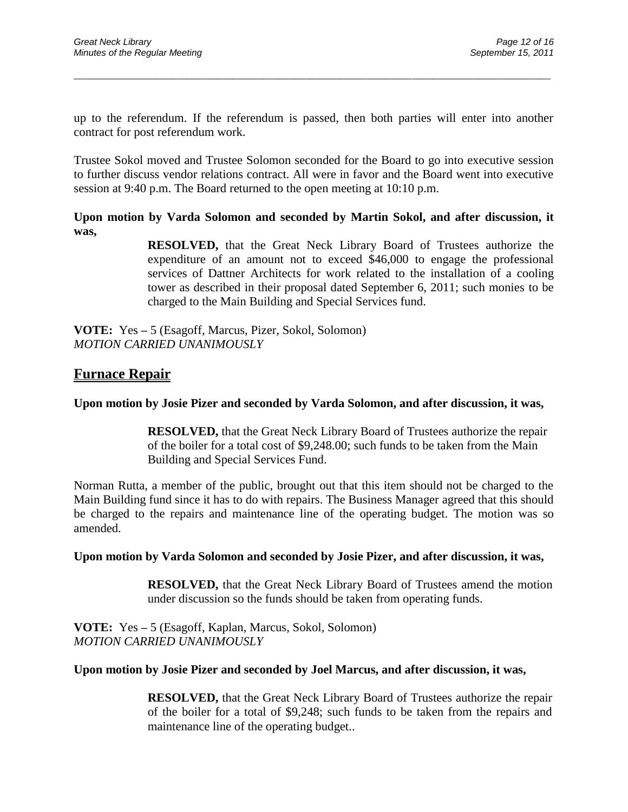up to the referendum. If the referendum is passed, then both parties will enter into another contract for post referendum work.

\_\_\_\_\_\_\_\_\_\_\_\_\_\_\_\_\_\_\_\_\_\_\_\_\_\_\_\_\_\_\_\_\_\_\_\_\_\_\_\_\_\_\_\_\_\_\_\_\_\_\_\_\_\_\_\_\_\_\_\_\_\_\_\_\_\_\_\_\_\_\_\_\_\_\_\_\_\_\_\_\_\_\_\_\_\_\_\_\_\_\_\_\_

Trustee Sokol moved and Trustee Solomon seconded for the Board to go into executive session to further discuss vendor relations contract. All were in favor and the Board went into executive session at 9:40 p.m. The Board returned to the open meeting at 10:10 p.m.

**Upon motion by Varda Solomon and seconded by Martin Sokol, and after discussion, it was,**

> **RESOLVED,** that the Great Neck Library Board of Trustees authorize the expenditure of an amount not to exceed \$46,000 to engage the professional services of Dattner Architects for work related to the installation of a cooling tower as described in their proposal dated September 6, 2011; such monies to be charged to the Main Building and Special Services fund.

**VOTE:** Yes **–** 5 (Esagoff, Marcus, Pizer, Sokol, Solomon) *MOTION CARRIED UNANIMOUSLY* 

## **Furnace Repair**

### **Upon motion by Josie Pizer and seconded by Varda Solomon, and after discussion, it was,**

**RESOLVED,** that the Great Neck Library Board of Trustees authorize the repair of the boiler for a total cost of \$9,248.00; such funds to be taken from the Main Building and Special Services Fund.

Norman Rutta, a member of the public, brought out that this item should not be charged to the Main Building fund since it has to do with repairs. The Business Manager agreed that this should be charged to the repairs and maintenance line of the operating budget. The motion was so amended.

### **Upon motion by Varda Solomon and seconded by Josie Pizer, and after discussion, it was,**

**RESOLVED,** that the Great Neck Library Board of Trustees amend the motion under discussion so the funds should be taken from operating funds.

**VOTE:** Yes **–** 5 (Esagoff, Kaplan, Marcus, Sokol, Solomon) *MOTION CARRIED UNANIMOUSLY*

### **Upon motion by Josie Pizer and seconded by Joel Marcus, and after discussion, it was,**

**RESOLVED,** that the Great Neck Library Board of Trustees authorize the repair of the boiler for a total of \$9,248; such funds to be taken from the repairs and maintenance line of the operating budget..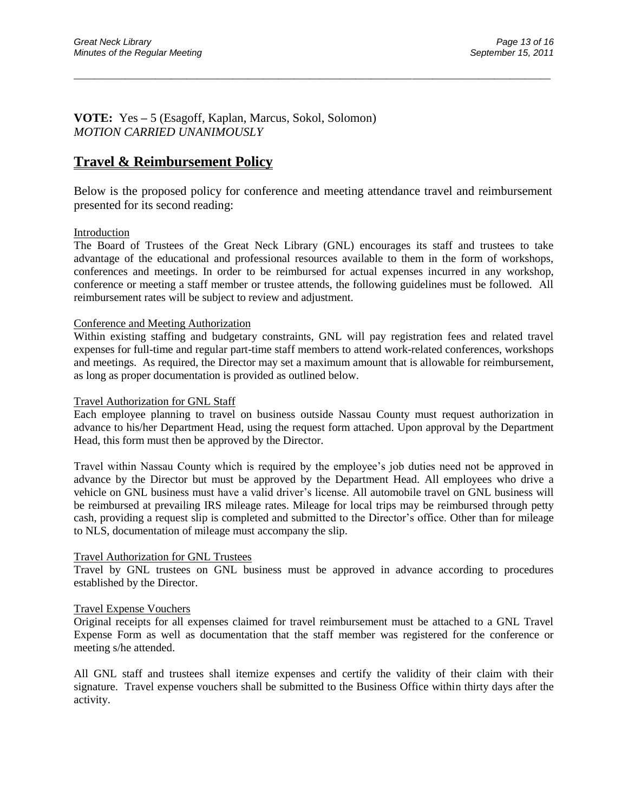**VOTE:** Yes **–** 5 (Esagoff, Kaplan, Marcus, Sokol, Solomon) *MOTION CARRIED UNANIMOUSLY*

## **Travel & Reimbursement Policy**

Below is the proposed policy for conference and meeting attendance travel and reimbursement presented for its second reading:

\_\_\_\_\_\_\_\_\_\_\_\_\_\_\_\_\_\_\_\_\_\_\_\_\_\_\_\_\_\_\_\_\_\_\_\_\_\_\_\_\_\_\_\_\_\_\_\_\_\_\_\_\_\_\_\_\_\_\_\_\_\_\_\_\_\_\_\_\_\_\_\_\_\_\_\_\_\_\_\_\_\_\_\_\_\_\_\_\_\_\_\_\_

#### Introduction

The Board of Trustees of the Great Neck Library (GNL) encourages its staff and trustees to take advantage of the educational and professional resources available to them in the form of workshops, conferences and meetings. In order to be reimbursed for actual expenses incurred in any workshop, conference or meeting a staff member or trustee attends, the following guidelines must be followed. All reimbursement rates will be subject to review and adjustment.

#### Conference and Meeting Authorization

Within existing staffing and budgetary constraints, GNL will pay registration fees and related travel expenses for full-time and regular part-time staff members to attend work-related conferences, workshops and meetings. As required, the Director may set a maximum amount that is allowable for reimbursement, as long as proper documentation is provided as outlined below.

#### Travel Authorization for GNL Staff

Each employee planning to travel on business outside Nassau County must request authorization in advance to his/her Department Head, using the request form attached. Upon approval by the Department Head, this form must then be approved by the Director.

Travel within Nassau County which is required by the employee"s job duties need not be approved in advance by the Director but must be approved by the Department Head. All employees who drive a vehicle on GNL business must have a valid driver"s license. All automobile travel on GNL business will be reimbursed at prevailing IRS mileage rates. Mileage for local trips may be reimbursed through petty cash, providing a request slip is completed and submitted to the Director's office. Other than for mileage to NLS, documentation of mileage must accompany the slip.

#### Travel Authorization for GNL Trustees

Travel by GNL trustees on GNL business must be approved in advance according to procedures established by the Director.

#### Travel Expense Vouchers

Original receipts for all expenses claimed for travel reimbursement must be attached to a GNL Travel Expense Form as well as documentation that the staff member was registered for the conference or meeting s/he attended.

All GNL staff and trustees shall itemize expenses and certify the validity of their claim with their signature. Travel expense vouchers shall be submitted to the Business Office within thirty days after the activity.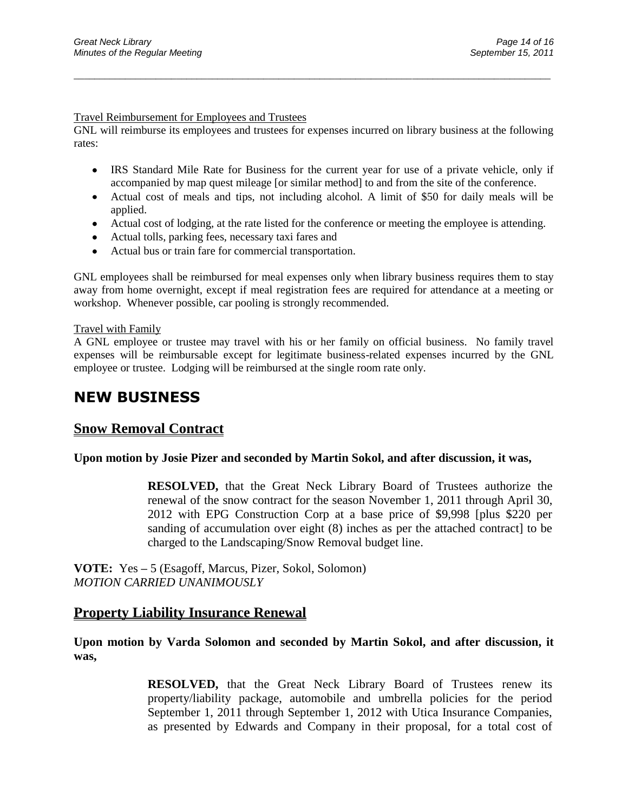#### Travel Reimbursement for Employees and Trustees

GNL will reimburse its employees and trustees for expenses incurred on library business at the following rates:

\_\_\_\_\_\_\_\_\_\_\_\_\_\_\_\_\_\_\_\_\_\_\_\_\_\_\_\_\_\_\_\_\_\_\_\_\_\_\_\_\_\_\_\_\_\_\_\_\_\_\_\_\_\_\_\_\_\_\_\_\_\_\_\_\_\_\_\_\_\_\_\_\_\_\_\_\_\_\_\_\_\_\_\_\_\_\_\_\_\_\_\_\_

- IRS Standard Mile Rate for Business for the current year for use of a private vehicle, only if accompanied by map quest mileage [or similar method] to and from the site of the conference.
- Actual cost of meals and tips, not including alcohol. A limit of \$50 for daily meals will be applied.
- Actual cost of lodging, at the rate listed for the conference or meeting the employee is attending.
- Actual tolls, parking fees, necessary taxi fares and
- Actual bus or train fare for commercial transportation.

GNL employees shall be reimbursed for meal expenses only when library business requires them to stay away from home overnight, except if meal registration fees are required for attendance at a meeting or workshop. Whenever possible, car pooling is strongly recommended.

#### Travel with Family

A GNL employee or trustee may travel with his or her family on official business. No family travel expenses will be reimbursable except for legitimate business-related expenses incurred by the GNL employee or trustee. Lodging will be reimbursed at the single room rate only.

# **NEW BUSINESS**

## **Snow Removal Contract**

### **Upon motion by Josie Pizer and seconded by Martin Sokol, and after discussion, it was,**

**RESOLVED,** that the Great Neck Library Board of Trustees authorize the renewal of the snow contract for the season November 1, 2011 through April 30, 2012 with EPG Construction Corp at a base price of \$9,998 [plus \$220 per sanding of accumulation over eight (8) inches as per the attached contract] to be charged to the Landscaping/Snow Removal budget line.

**VOTE:** Yes **–** 5 (Esagoff, Marcus, Pizer, Sokol, Solomon) *MOTION CARRIED UNANIMOUSLY*

## **Property Liability Insurance Renewal**

### **Upon motion by Varda Solomon and seconded by Martin Sokol, and after discussion, it was,**

**RESOLVED,** that the Great Neck Library Board of Trustees renew its property/liability package, automobile and umbrella policies for the period September 1, 2011 through September 1, 2012 with Utica Insurance Companies, as presented by Edwards and Company in their proposal, for a total cost of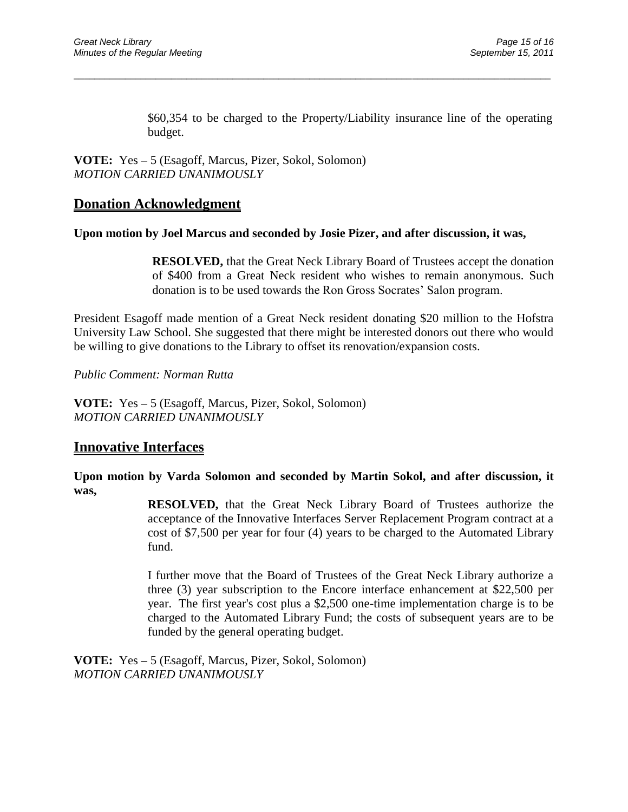\$60,354 to be charged to the Property/Liability insurance line of the operating budget.

**VOTE:** Yes **–** 5 (Esagoff, Marcus, Pizer, Sokol, Solomon) *MOTION CARRIED UNANIMOUSLY*

## **Donation Acknowledgment**

### **Upon motion by Joel Marcus and seconded by Josie Pizer, and after discussion, it was,**

\_\_\_\_\_\_\_\_\_\_\_\_\_\_\_\_\_\_\_\_\_\_\_\_\_\_\_\_\_\_\_\_\_\_\_\_\_\_\_\_\_\_\_\_\_\_\_\_\_\_\_\_\_\_\_\_\_\_\_\_\_\_\_\_\_\_\_\_\_\_\_\_\_\_\_\_\_\_\_\_\_\_\_\_\_\_\_\_\_\_\_\_\_

**RESOLVED,** that the Great Neck Library Board of Trustees accept the donation of \$400 from a Great Neck resident who wishes to remain anonymous. Such donation is to be used towards the Ron Gross Socrates" Salon program.

President Esagoff made mention of a Great Neck resident donating \$20 million to the Hofstra University Law School. She suggested that there might be interested donors out there who would be willing to give donations to the Library to offset its renovation/expansion costs.

*Public Comment: Norman Rutta*

**VOTE:** Yes **–** 5 (Esagoff, Marcus, Pizer, Sokol, Solomon) *MOTION CARRIED UNANIMOUSLY*

## **Innovative Interfaces**

**Upon motion by Varda Solomon and seconded by Martin Sokol, and after discussion, it was,**

> **RESOLVED,** that the Great Neck Library Board of Trustees authorize the acceptance of the Innovative Interfaces Server Replacement Program contract at a cost of \$7,500 per year for four (4) years to be charged to the Automated Library fund.

> I further move that the Board of Trustees of the Great Neck Library authorize a three (3) year subscription to the Encore interface enhancement at \$22,500 per year. The first year's cost plus a \$2,500 one-time implementation charge is to be charged to the Automated Library Fund; the costs of subsequent years are to be funded by the general operating budget.

**VOTE:** Yes **–** 5 (Esagoff, Marcus, Pizer, Sokol, Solomon) *MOTION CARRIED UNANIMOUSLY*